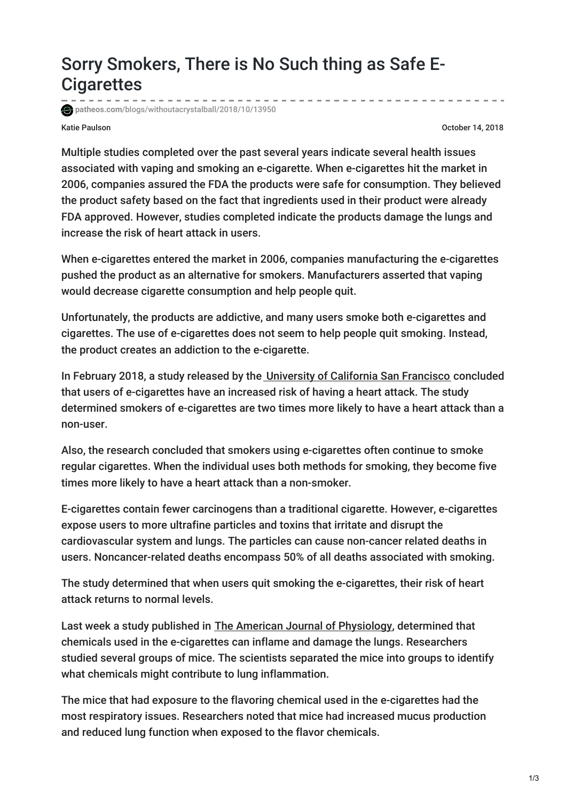## Sorry Smokers, There is No Such thing as Safe E-**Cigarettes**

**patheos.com**[/blogs/withoutacrystalball/2018/10/13950](http://www.patheos.com/blogs/withoutacrystalball/2018/10/13950/)

Katie Paulson October 14, 2018

Multiple studies completed over the past several years indicate several health issues associated with vaping and smoking an e-cigarette. When e-cigarettes hit the market in 2006, companies assured the FDA the products were safe for consumption. They believed the product safety based on the fact that ingredients used in their product were already FDA approved. However, studies completed indicate the products damage the lungs and increase the risk of heart attack in users.

When e-cigarettes entered the market in 2006, companies manufacturing the e-cigarettes pushed the product as an alternative for smokers. Manufacturers asserted that vaping would decrease cigarette consumption and help people quit.

Unfortunately, the products are addictive, and many users smoke both e-cigarettes and cigarettes. The use of e-cigarettes does not seem to help people quit smoking. Instead, the product creates an addiction to the e-cigarette.

In February 2018, a study released by the [University](http://www.the-aps.org/mm/hp/Audiences/Public-Press/2018/63.html) of California San Francisco concluded that users of e-cigarettes have an increased risk of having a heart attack. The study determined smokers of e-cigarettes are two times more likely to have a heart attack than a non-user.

Also, the research concluded that smokers using e-cigarettes often continue to smoke regular cigarettes. When the individual uses both methods for smoking, they become five times more likely to have a heart attack than a non-smoker.

E-cigarettes contain fewer carcinogens than a traditional cigarette. However, e-cigarettes expose users to more ultrafine particles and toxins that irritate and disrupt the cardiovascular system and lungs. The particles can cause non-cancer related deaths in users. Noncancer-related deaths encompass 50% of all deaths associated with smoking.

The study determined that when users quit smoking the e-cigarettes, their risk of heart attack returns to normal levels.

Last week a study published in The American Journal of [Physiology](http://www.the-aps.org/mm/hp/Audiences/Public-Press/2018/63.html), determined that chemicals used in the e-cigarettes can inflame and damage the lungs. Researchers studied several groups of mice. The scientists separated the mice into groups to identify what chemicals might contribute to lung inflammation.

The mice that had exposure to the flavoring chemical used in the e-cigarettes had the most respiratory issues. Researchers noted that mice had increased mucus production and reduced lung function when exposed to the flavor chemicals.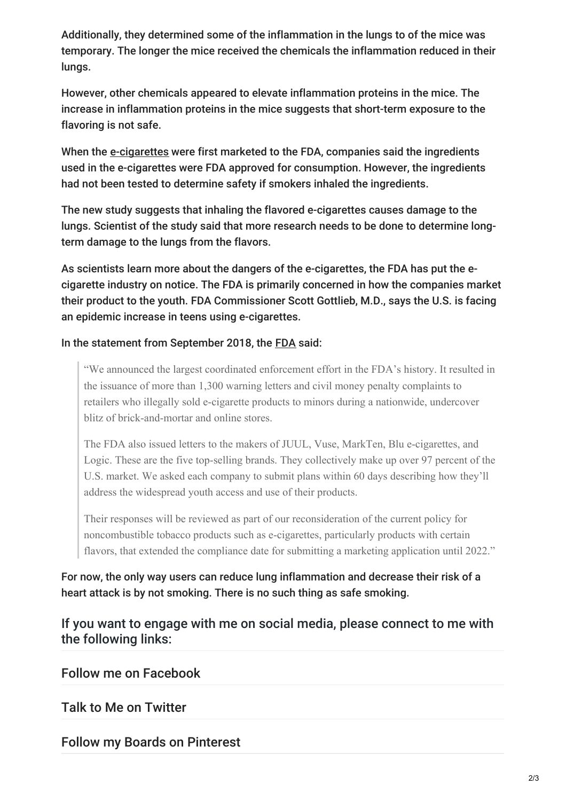Additionally, they determined some of the inflammation in the lungs to of the mice was temporary. The longer the mice received the chemicals the inflammation reduced in their lungs.

However, other chemicals appeared to elevate inflammation proteins in the mice. The increase in inflammation proteins in the mice suggests that short-term exposure to the flavoring is not safe.

When the [e-cigarettes](https://www.newsday.com/news/health/e-cigarettes-lung-inflammation-1.21877969) were first marketed to the FDA, companies said the ingredients used in the e-cigarettes were FDA approved for consumption. However, the ingredients had not been tested to determine safety if smokers inhaled the ingredients.

The new study suggests that inhaling the flavored e-cigarettes causes damage to the lungs. Scientist of the study said that more research needs to be done to determine longterm damage to the lungs from the flavors.

As scientists learn more about the dangers of the e-cigarettes, the FDA has put the ecigarette industry on notice. The FDA is primarily concerned in how the companies market their product to the youth. FDA Commissioner Scott Gottlieb, M.D., says the U.S. is facing an epidemic increase in teens using e-cigarettes.

## In the statement from September 2018, the [FDA](https://www.fda.gov/NewsEvents/Newsroom/PressAnnouncements/ucm620791.htm) said:

"We announced the largest coordinated enforcement effort in the FDA's history. It resulted in the issuance of more than 1,300 warning letters and civil money penalty complaints to retailers who illegally sold e-cigarette products to minors during a nationwide, undercover blitz of brick-and-mortar and online stores.

The FDA also issued letters to the makers of JUUL, Vuse, MarkTen, Blu e-cigarettes, and Logic. These are the five top-selling brands. They collectively make up over 97 percent of the U.S. market. We asked each company to submit plans within 60 days describing how they'll address the widespread youth access and use of their products.

Their responses will be reviewed as part of our reconsideration of the current policy for noncombustible tobacco products such as e-cigarettes, particularly products with certain flavors, that extended the compliance date for submitting a marketing application until 2022."

For now, the only way users can reduce lung inflammation and decrease their risk of a heart attack is by not smoking. There is no such thing as safe smoking.

## If you want to engage with me on social media, please connect to me with the following links:

Follow me on [Facebook](http://www.facebook.com/withoutacrystalball)

Talk to Me on [Twitter](http://www.twitter.com/WOACrystalball)

Follow my Boards on [Pinterest](http://www.pinterest.com/withoutacrystalball)